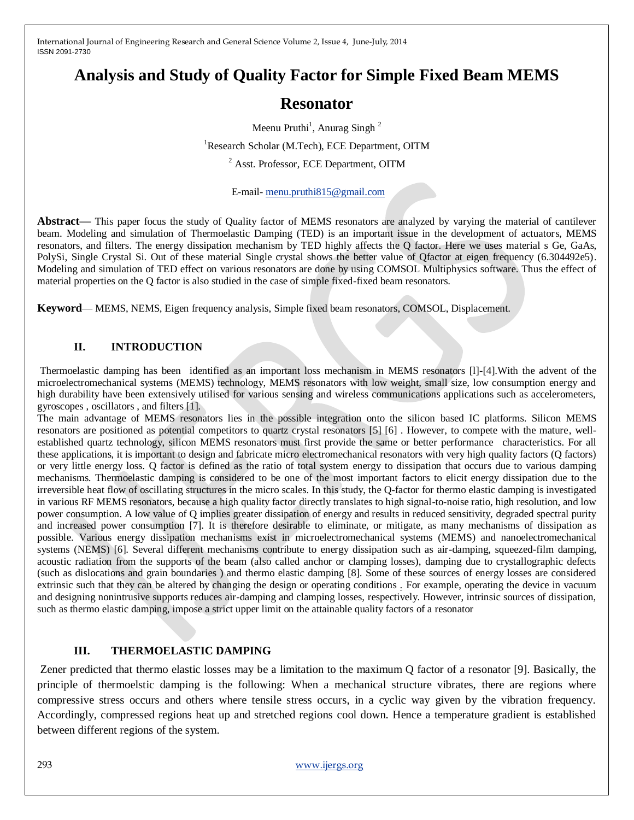# **Analysis and Study of Quality Factor for Simple Fixed Beam MEMS**

# **Resonator**

Meenu Pruthi<sup>1</sup>, Anurag Singh<sup>2</sup>

<sup>1</sup>Research Scholar (M.Tech), ECE Department, OITM

<sup>2</sup> Asst. Professor, ECE Department, OITM

E-mail- [menu.pruthi815@gmail.com](mailto:menu.pruthi815@gmail.com)

**Abstract—** This paper focus the study of Quality factor of MEMS resonators are analyzed by varying the material of cantilever beam. Modeling and simulation of Thermoelastic Damping (TED) is an important issue in the development of actuators, MEMS resonators, and filters. The energy dissipation mechanism by TED highly affects the Q factor. Here we uses material s Ge, GaAs, PolySi, Single Crystal Si. Out of these material Single crystal shows the better value of Qfactor at eigen frequency (6.304492e5). Modeling and simulation of TED effect on various resonators are done by using COMSOL Multiphysics software. Thus the effect of material properties on the Q factor is also studied in the case of simple fixed-fixed beam resonators.

**Keyword**— MEMS, NEMS, Eigen frequency analysis, Simple fixed beam resonators, COMSOL, Displacement.

## **II. INTRODUCTION**

Thermoelastic damping has been identified as an important loss mechanism in MEMS resonators [l]-[4].With the advent of the microelectromechanical systems (MEMS) technology, MEMS resonators with low weight, small size, low consumption energy and high durability have been extensively utilised for various sensing and wireless communications applications such as accelerometers, gyroscopes , oscillators , and filters [1].

The main advantage of MEMS resonators lies in the possible integration onto the silicon based IC platforms. Silicon MEMS resonators are positioned as potential competitors to quartz crystal resonators [5] [6] . However, to compete with the mature, wellestablished quartz technology, silicon MEMS resonators must first provide the same or better performance characteristics. For all these applications, it is important to design and fabricate micro electromechanical resonators with very high quality factors (Q factors) or very little energy loss. Q factor is defined as the ratio of total system energy to dissipation that occurs due to various damping mechanisms. Thermoelastic damping is considered to be one of the most important factors to elicit energy dissipation due to the irreversible heat flow of oscillating structures in the micro scales. In this study, the Q-factor for thermo elastic damping is investigated in various RF MEMS resonators, because a high quality factor directly translates to high signal-to-noise ratio, high resolution, and low power consumption. A low value of Q implies greater dissipation of energy and results in reduced sensitivity, degraded spectral purity and increased power consumption [7]. It is therefore desirable to eliminate, or mitigate, as many mechanisms of dissipation as possible. Various energy dissipation mechanisms exist in microelectromechanical systems (MEMS) and nanoelectromechanical systems (NEMS) [6]. Several different mechanisms contribute to energy dissipation such as air-damping, squeezed-film damping, acoustic radiation from the supports of the beam (also called anchor or clamping losses), damping due to crystallographic defects (such as dislocations and grain boundaries ) and thermo elastic damping [8]. Some of these sources of energy losses are considered extrinsic such that they can be altered by changing the design or operating conditions . For example, operating the device in vacuum and designing nonintrusive supports reduces air-damping and clamping losses, respectively. However, intrinsic sources of dissipation, such as thermo elastic damping, impose a strict upper limit on the attainable quality factors of a resonator

## **III. THERMOELASTIC DAMPING**

Zener predicted that thermo elastic losses may be a limitation to the maximum Q factor of a resonator [9]. Basically, the principle of thermoelstic damping is the following: When a mechanical structure vibrates, there are regions where compressive stress occurs and others where tensile stress occurs, in a cyclic way given by the vibration frequency. Accordingly, compressed regions heat up and stretched regions cool down. Hence a temperature gradient is established between different regions of the system.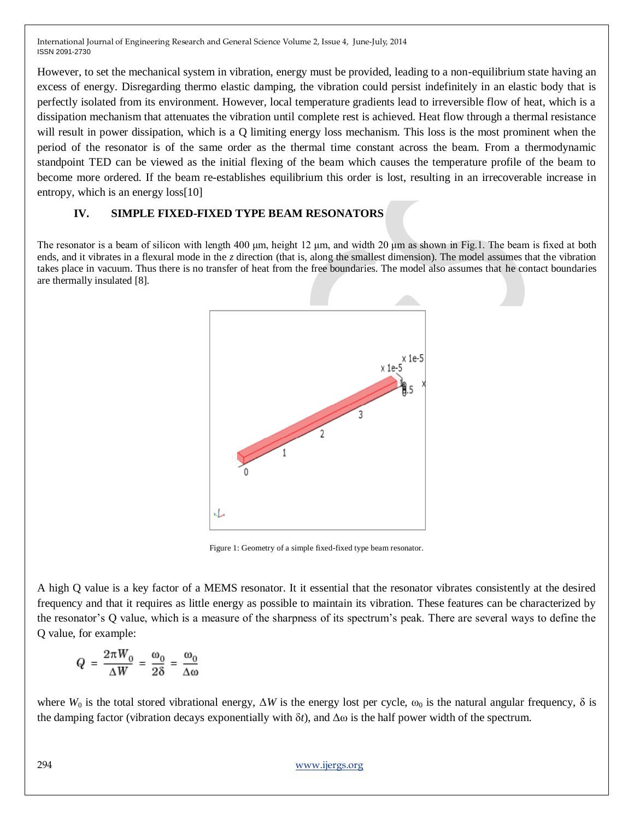However, to set the mechanical system in vibration, energy must be provided, leading to a non-equilibrium state having an excess of energy. Disregarding thermo elastic damping, the vibration could persist indefinitely in an elastic body that is perfectly isolated from its environment. However, local temperature gradients lead to irreversible flow of heat, which is a dissipation mechanism that attenuates the vibration until complete rest is achieved. Heat flow through a thermal resistance will result in power dissipation, which is a Q limiting energy loss mechanism. This loss is the most prominent when the period of the resonator is of the same order as the thermal time constant across the beam. From a thermodynamic standpoint TED can be viewed as the initial flexing of the beam which causes the temperature profile of the beam to become more ordered. If the beam re-establishes equilibrium this order is lost, resulting in an irrecoverable increase in entropy, which is an energy loss[10]

# **IV. SIMPLE FIXED-FIXED TYPE BEAM RESONATORS**

The resonator is a beam of silicon with length 400 μm, height 12 μm, and width 20 μm as shown in Fig.1. The beam is fixed at both ends, and it vibrates in a flexural mode in the *z* direction (that is, along the smallest dimension). The model assumes that the vibration takes place in vacuum. Thus there is no transfer of heat from the free boundaries. The model also assumes that he contact boundaries are thermally insulated [8].



Figure 1: Geometry of a simple fixed-fixed type beam resonator.

A high Q value is a key factor of a MEMS resonator. It it essential that the resonator vibrates consistently at the desired frequency and that it requires as little energy as possible to maintain its vibration. These features can be characterized by the resonator's Q value, which is a measure of the sharpness of its spectrum's peak. There are several ways to define the Q value, for example:

$$
Q = \frac{2\pi W_0}{\Delta W} = \frac{\omega_0}{2\delta} = \frac{\omega_0}{\Delta \omega}
$$

where  $W_0$  is the total stored vibrational energy,  $\Delta W$  is the energy lost per cycle,  $\omega_0$  is the natural angular frequency,  $\delta$  is the damping factor (vibration decays exponentially with δ*t*), and Δω is the half power width of the spectrum.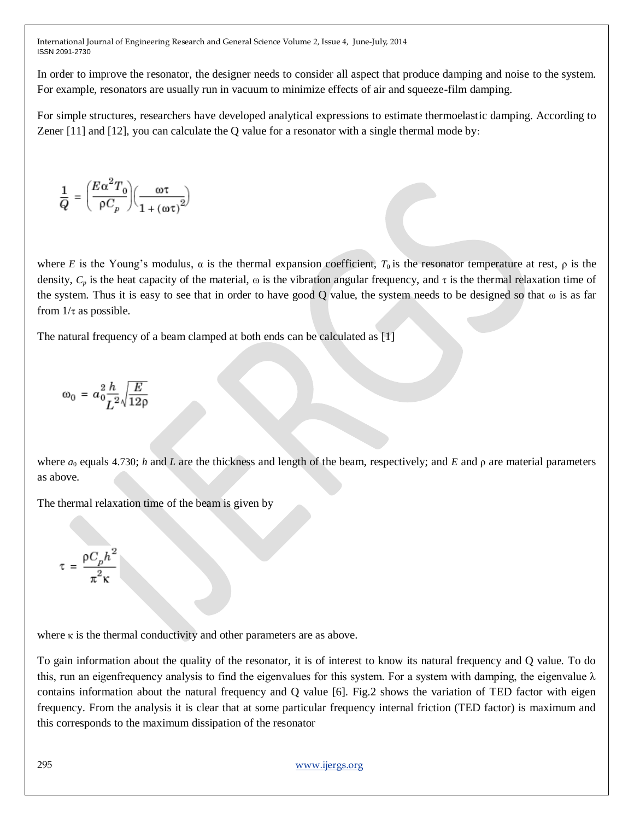In order to improve the resonator, the designer needs to consider all aspect that produce damping and noise to the system. For example, resonators are usually run in vacuum to minimize effects of air and squeeze-film damping.

For simple structures, researchers have developed analytical expressions to estimate thermoelastic damping. According to Zener [11] and [12], you can calculate the Q value for a resonator with a single thermal mode by:

$$
\frac{1}{Q} = \left(\frac{E\alpha^2 T_0}{\rho C_p}\right) \left(\frac{\omega \tau}{1 + (\omega \tau)^2}\right)
$$

where *E* is the Young's modulus,  $\alpha$  is the thermal expansion coefficient,  $T_0$  is the resonator temperature at rest,  $\rho$  is the density,  $C_p$  is the heat capacity of the material,  $\omega$  is the vibration angular frequency, and  $\tau$  is the thermal relaxation time of the system. Thus it is easy to see that in order to have good Q value, the system needs to be designed so that  $\omega$  is as far from  $1/\tau$  as possible.

The natural frequency of a beam clamped at both ends can be calculated as [1]

$$
\omega_0 = a_0^2 \frac{h}{L^2} \sqrt{\frac{E}{12\rho}}
$$

where *a*<sup>0</sup> equals 4.730; *h* and *L* are the thickness and length of the beam, respectively; and *E* and ρ are material parameters as above.

The thermal relaxation time of the beam is given by

$$
\tau = \frac{\rho C_p h^2}{\pi^2 \kappa}
$$

where  $\kappa$  is the thermal conductivity and other parameters are as above.

To gain information about the quality of the resonator, it is of interest to know its natural frequency and Q value. To do this, run an eigenfrequency analysis to find the eigenvalues for this system. For a system with damping, the eigenvalue  $\lambda$ contains information about the natural frequency and Q value [6]. Fig.2 shows the variation of TED factor with eigen frequency. From the analysis it is clear that at some particular frequency internal friction (TED factor) is maximum and this corresponds to the maximum dissipation of the resonator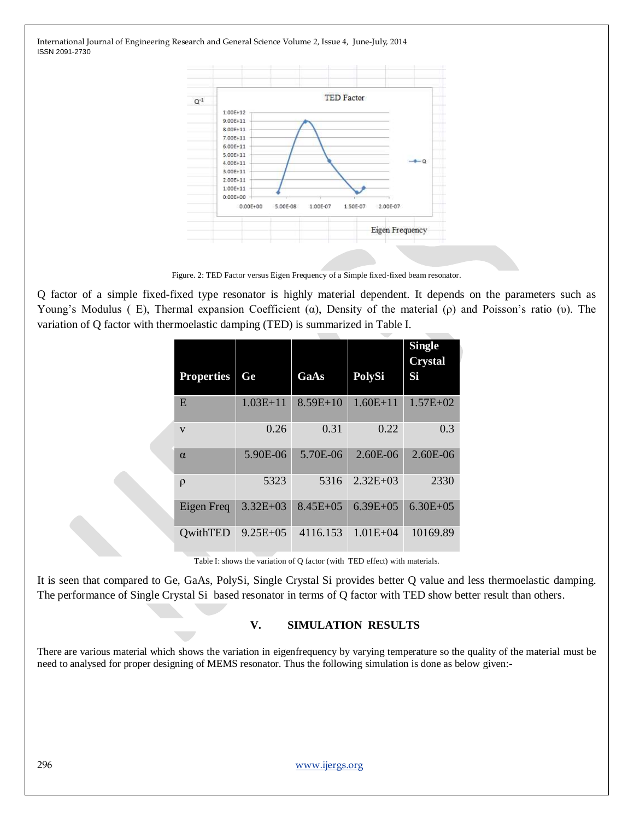

Figure. 2: TED Factor versus Eigen Frequency of a Simple fixed-fixed beam resonator.

Q factor of a simple fixed-fixed type resonator is highly material dependent. It depends on the parameters such as Young's Modulus ( E), Thermal expansion Coefficient (α), Density of the material (ρ) and Poisson's ratio (υ). The variation of Q factor with thermoelastic damping (TED) is summarized in Table I.

| <b>Properties</b>       | Ge           | GaAs         | <b>PolySi</b> | <b>Single</b><br><b>Crystal</b><br>Si |
|-------------------------|--------------|--------------|---------------|---------------------------------------|
| E                       | $1.03E + 11$ | $8.59E + 10$ | $1.60E + 11$  | $1.57E + 02$                          |
| $\overline{\mathbf{V}}$ | 0.26         | 0.31         | 0.22          | 0.3                                   |
| $\alpha$                | 5.90E-06     | 5.70E-06     | 2.60E-06      | $2.60E-06$                            |
| ρ                       | 5323         | 5316         | $2.32E + 03$  | 2330                                  |
| Eigen Freq              | $3.32E + 03$ | $8.45E + 05$ | $6.39E + 05$  | $6.30E + 05$                          |
| <b>QwithTED</b>         | $9.25E + 05$ | 4116.153     | $1.01E + 04$  | 10169.89                              |

Table I: shows the variation of Q factor (with TED effect) with materials.

It is seen that compared to Ge, GaAs, PolySi, Single Crystal Si provides better Q value and less thermoelastic damping. The performance of Single Crystal Si based resonator in terms of Q factor with TED show better result than others.

## **V. SIMULATION RESULTS**

There are various material which shows the variation in eigenfrequency by varying temperature so the quality of the material must be need to analysed for proper designing of MEMS resonator. Thus the following simulation is done as below given:-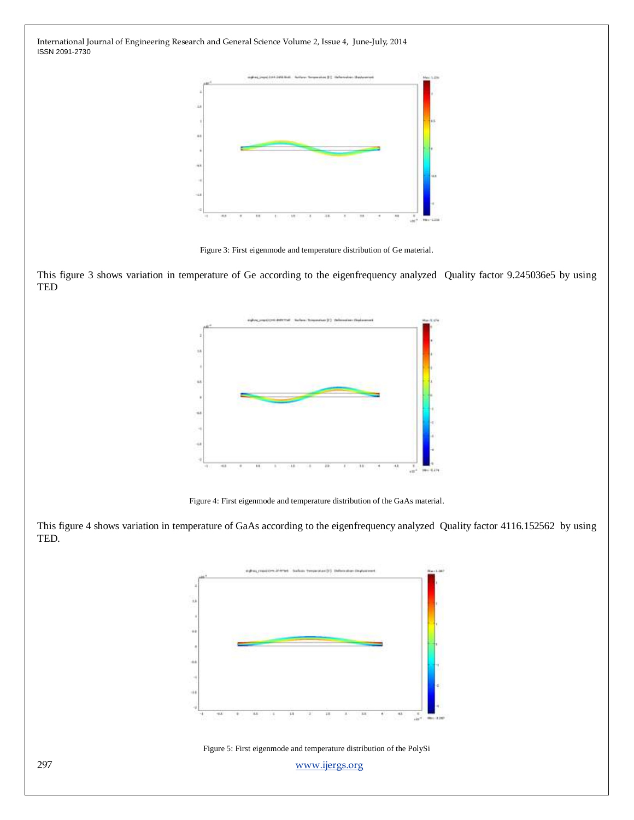

Figure 3: First eigenmode and temperature distribution of Ge material.

This figure 3 shows variation in temperature of Ge according to the eigenfrequency analyzed Quality factor 9.245036e5 by using TED



Figure 4: First eigenmode and temperature distribution of the GaAs material.

This figure 4 shows variation in temperature of GaAs according to the eigenfrequency analyzed Quality factor 4116.152562 by using TED.